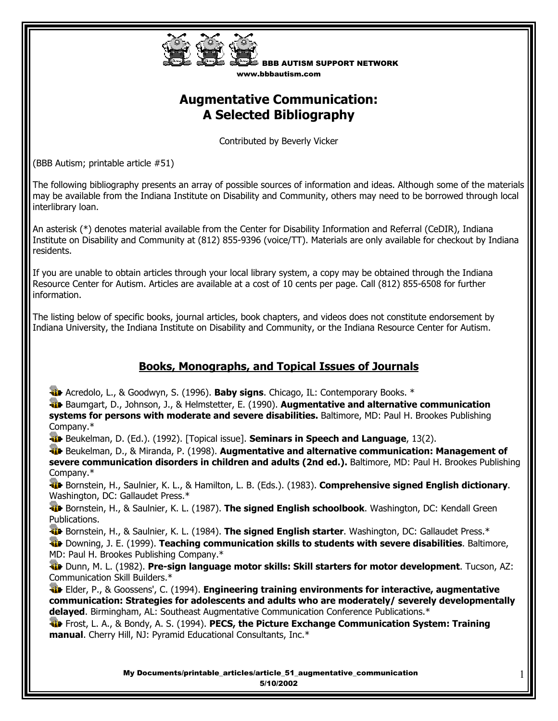

BBB AUTISM SUPPORT NETWORK www.bbbautism.com

# **Augmentative Communication: A Selected Bibliography**

Contributed by Beverly Vicker

(BBB Autism; printable article #51)

The following bibliography presents an array of possible sources of information and ideas. Although some of the materials may be available from the Indiana Institute on Disability and Community, others may need to be borrowed through local interlibrary loan.

An asterisk (\*) denotes material available from the Center for Disability Information and Referral (CeDIR), Indiana Institute on Disability and Community at (812) 855-9396 (voice/TT). Materials are only available for checkout by Indiana residents.

If you are unable to obtain articles through your local library system, a copy may be obtained through the Indiana Resource Center for Autism. Articles are available at a cost of 10 cents per page. Call (812) 855-6508 for further information.

The listing below of specific books, journal articles, book chapters, and videos does not constitute endorsement by Indiana University, the Indiana Institute on Disability and Community, or the Indiana Resource Center for Autism.

# **Books, Monographs, and Topical Issues of Journals**

**Alt** Acredolo, L., & Goodwyn, S. (1996). **Baby signs**. Chicago, IL: Contemporary Books. \*

 Baumgart, D., Johnson, J., & Helmstetter, E. (1990). **Augmentative and alternative communication systems for persons with moderate and severe disabilities.** Baltimore, MD: Paul H. Brookes Publishing Company.\*

Beukelman, D. (Ed.). (1992). [Topical issue]. **Seminars in Speech and Language**, 13(2).

 Beukelman, D., & Miranda, P. (1998). **Augmentative and alternative communication: Management of severe communication disorders in children and adults (2nd ed.).** Baltimore, MD: Paul H. Brookes Publishing Company.\*

 Bornstein, H., Saulnier, K. L., & Hamilton, L. B. (Eds.). (1983). **Comprehensive signed English dictionary**. Washington, DC: Gallaudet Press.\*

**Bornstein, H., & Saulnier, K. L. (1987). The signed English schoolbook.** Washington, DC: Kendall Green Publications.

**Bornstein, H., & Saulnier, K. L. (1984). The signed English starter.** Washington, DC: Gallaudet Press.\*

 Downing, J. E. (1999). **Teaching communication skills to students with severe disabilities**. Baltimore, MD: Paul H. Brookes Publishing Company.\*

 Dunn, M. L. (1982). **Pre-sign language motor skills: Skill starters for motor development**. Tucson, AZ: Communication Skill Builders.\*

 Elder, P., & Goossens', C. (1994). **Engineering training environments for interactive, augmentative communication: Strategies for adolescents and adults who are moderately/ severely developmentally delayed**. Birmingham, AL: Southeast Augmentative Communication Conference Publications.\*

 Frost, L. A., & Bondy, A. S. (1994). **PECS, the Picture Exchange Communication System: Training manual**. Cherry Hill, NJ: Pyramid Educational Consultants, Inc.\*

> My Documents/printable\_articles/article\_51\_augmentative\_communication 5/10/2002

1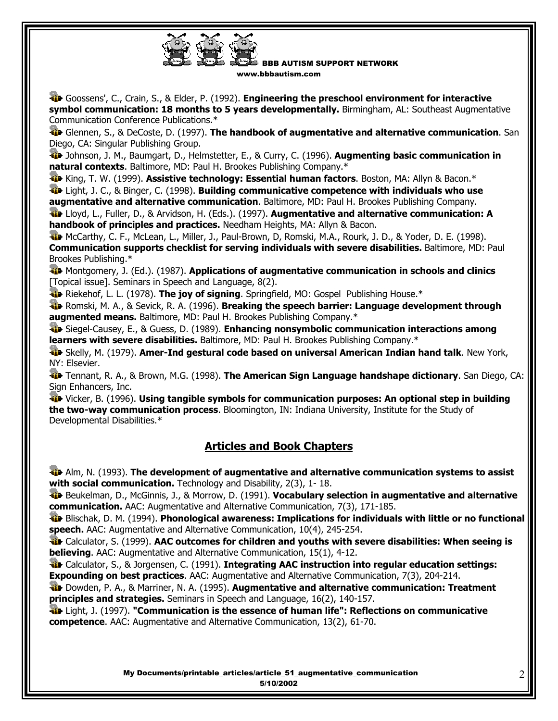

BBB AUTISM SUPPORT NETWORK www.bbbautism.com

 Goossens', C., Crain, S., & Elder, P. (1992). **Engineering the preschool environment for interactive symbol communication: 18 months to 5 years developmentally.** Birmingham, AL: Southeast Augmentative Communication Conference Publications.\*

 Glennen, S., & DeCoste, D. (1997). **The handbook of augmentative and alternative communication**. San Diego, CA: Singular Publishing Group.

 Johnson, J. M., Baumgart, D., Helmstetter, E., & Curry, C. (1996). **Augmenting basic communication in natural contexts**. Baltimore, MD: Paul H. Brookes Publishing Company.\*

**King, T. W. (1999). Assistive technology: Essential human factors.** Boston, MA: Allyn & Bacon.\*

 Light, J. C., & Binger, C. (1998). **Building communicative competence with individuals who use augmentative and alternative communication**. Baltimore, MD: Paul H. Brookes Publishing Company.

 Lloyd, L., Fuller, D., & Arvidson, H. (Eds.). (1997). **Augmentative and alternative communication: A handbook of principles and practices.** Needham Heights, MA: Allyn & Bacon.

McCarthy, C. F., McLean, L., Miller, J., Paul-Brown, D, Romski, M.A., Rourk, J. D., & Yoder, D. E. (1998). **Communication supports checklist for serving individuals with severe disabilities.** Baltimore, MD: Paul Brookes Publishing.\*

**Montgomery, J. (Ed.). (1987). Applications of augmentative communication in schools and clinics** [Topical issue]. Seminars in Speech and Language, 8(2).

**Ri**e Riekehof, L. L. (1978). **The joy of signing**. Springfield, MO: Gospel Publishing House.\*

**Romski, M. A., & Sevick, R. A. (1996). Breaking the speech barrier: Language development through augmented means.** Baltimore, MD: Paul H. Brookes Publishing Company.\*

 Siegel-Causey, E., & Guess, D. (1989). **Enhancing nonsymbolic communication interactions among learners with severe disabilities.** Baltimore, MD: Paul H. Brookes Publishing Company.\*

 Skelly, M. (1979). **Amer-Ind gestural code based on universal American Indian hand talk**. New York, NY: Elsevier.

 Tennant, R. A., & Brown, M.G. (1998). **The American Sign Language handshape dictionary**. San Diego, CA: Sign Enhancers, Inc.

 Vicker, B. (1996). **Using tangible symbols for communication purposes: An optional step in building the two-way communication process**. Bloomington, IN: Indiana University, Institute for the Study of Developmental Disabilities.\*

# **Articles and Book Chapters**

 Alm, N. (1993). **The development of augmentative and alternative communication systems to assist with social communication.** Technology and Disability, 2(3), 1-18.

 Beukelman, D., McGinnis, J., & Morrow, D. (1991). **Vocabulary selection in augmentative and alternative communication.** AAC: Augmentative and Alternative Communication, 7(3), 171-185.

 Blischak, D. M. (1994). **Phonological awareness: Implications for individuals with little or no functional speech.** AAC: Augmentative and Alternative Communication, 10(4), 245-254.

**The Calculator, S. (1999). AAC outcomes for children and youths with severe disabilities: When seeing is believing**. AAC: Augmentative and Alternative Communication, 15(1), 4-12.

**The Calculator, S., & Jorgensen, C. (1991). Integrating AAC instruction into regular education settings: Expounding on best practices**. AAC: Augmentative and Alternative Communication, 7(3), 204-214.

 Dowden, P. A., & Marriner, N. A. (1995). **Augmentative and alternative communication: Treatment principles and strategies.** Seminars in Speech and Language, 16(2), 140-157.

 Light, J. (1997). **"Communication is the essence of human life": Reflections on communicative competence**. AAC: Augmentative and Alternative Communication, 13(2), 61-70.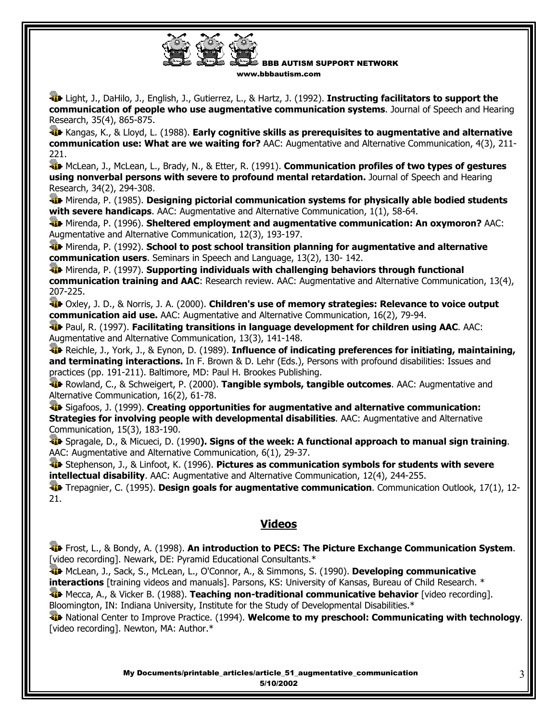

BBB AUTISM SUPPORT NETWORK www.bbbautism.com

 Light, J., DaHilo, J., English, J., Gutierrez, L., & Hartz, J. (1992). **Instructing facilitators to support the communication of people who use augmentative communication systems**. Journal of Speech and Hearing Research, 35(4), 865-875.

**Kangas, K., & Lloyd, L. (1988). Early cognitive skills as prerequisites to augmentative and alternative communication use: What are we waiting for?** AAC: Augmentative and Alternative Communication, 4(3), 211- 221.

**McLean, J., McLean, L., Brady, N., & Etter, R. (1991). Communication profiles of two types of gestures using nonverbal persons with severe to profound mental retardation.** Journal of Speech and Hearing Research, 34(2), 294-308.

**W** Mirenda, P. (1985). Designing pictorial communication systems for physically able bodied students **with severe handicaps**. AAC: Augmentative and Alternative Communication, 1(1), 58-64.

 Mirenda, P. (1996). **Sheltered employment and augmentative communication: An oxymoron?** AAC: Augmentative and Alternative Communication, 12(3), 193-197.

 Mirenda, P. (1992). **School to post school transition planning for augmentative and alternative communication users**. Seminars in Speech and Language, 13(2), 130- 142.

**The Mirenda, P. (1997). Supporting individuals with challenging behaviors through functional communication training and AAC**: Research review. AAC: Augmentative and Alternative Communication, 13(4), 207-225.

 Oxley, J. D., & Norris, J. A. (2000). **Children's use of memory strategies: Relevance to voice output communication aid use.** AAC: Augmentative and Alternative Communication, 16(2), 79-94.

 Paul, R. (1997). **Facilitating transitions in language development for children using AAC**. AAC: Augmentative and Alternative Communication, 13(3), 141-148.

 Reichle, J., York, J., & Eynon, D. (1989). **Influence of indicating preferences for initiating, maintaining, and terminating interactions.** In F. Brown & D. Lehr (Eds.), Persons with profound disabilities: Issues and practices (pp. 191-211). Baltimore, MD: Paul H. Brookes Publishing.

 Rowland, C., & Schweigert, P. (2000). **Tangible symbols, tangible outcomes**. AAC: Augmentative and Alternative Communication, 16(2), 61-78.

 Sigafoos, J. (1999). **Creating opportunities for augmentative and alternative communication: Strategies for involving people with developmental disabilities**. AAC: Augmentative and Alternative Communication, 15(3), 183-190.

 Spragale, D., & Micueci, D. (1990**). Signs of the week: A functional approach to manual sign training**. AAC: Augmentative and Alternative Communication, 6(1), 29-37.

 Stephenson, J., & Linfoot, K. (1996). **Pictures as communication symbols for students with severe intellectual disability**. AAC: Augmentative and Alternative Communication, 12(4), 244-255.

 Trepagnier, C. (1995). **Design goals for augmentative communication**. Communication Outlook, 17(1), 12- 21.

### **Videos**

 Frost, L., & Bondy, A. (1998). **An introduction to PECS: The Picture Exchange Communication System**. [video recording]. Newark, DE: Pyramid Educational Consultants.\*

**W** McLean, J., Sack, S., McLean, L., O'Connor, A., & Simmons, S. (1990). Developing communicative **interactions** [training videos and manuals]. Parsons, KS: University of Kansas, Bureau of Child Research. \* **The Mecca, A., & Vicker B. (1988). Teaching non-traditional communicative behavior** [video recording]. Bloomington, IN: Indiana University, Institute for the Study of Developmental Disabilities.\*

 National Center to Improve Practice. (1994). **Welcome to my preschool: Communicating with technology**. [video recording]. Newton, MA: Author.\*

> My Documents/printable\_articles/article\_51\_augmentative\_communication 5/10/2002